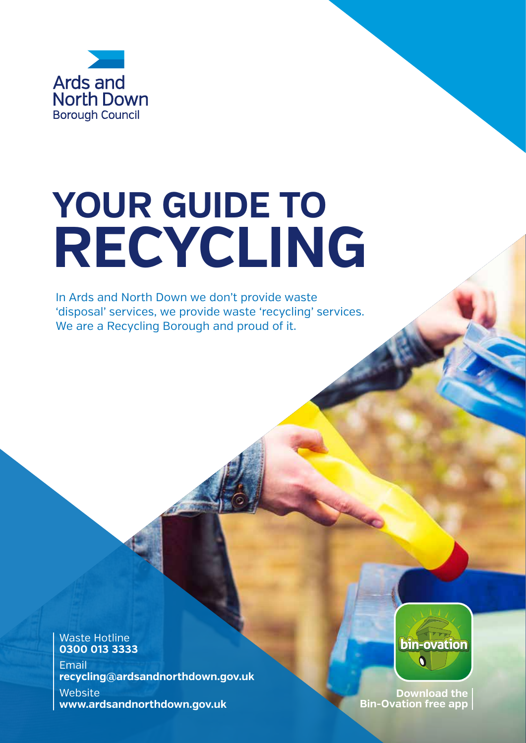

## **YOUR GUIDE TO RECYCLING**

In Ards and North Down we don't provide waste 'disposal' services, we provide waste 'recycling' services. We are a Recycling Borough and proud of it.

Waste Hotline **0300 013 3333** Email **recycling@ardsandnorthdown.gov.uk Website www.ardsandnorthdown.gov.uk**



**Download the Bin-Ovation free app**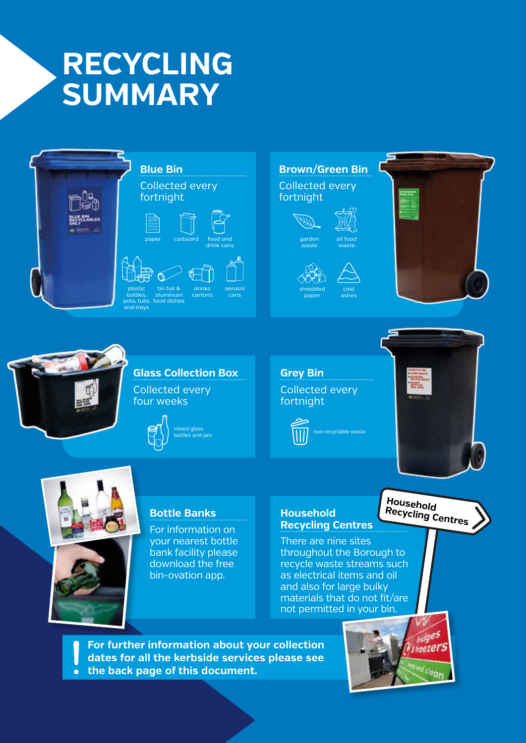## **RECYCLING SUMMARY**





For information on

**Bottle Banks**

your nearest bottle bank facility please download the free bin-ovation app.

#### **Household Recycling Centres**

There are nine sites throughout the Borough to recycle waste streams such as electrical items and oil and also for large bulky materials that do not fit/are not permitted in your bin.

**For further information about your collection dates for all the kerbside services please see the back page of this document.** $\bullet$ 

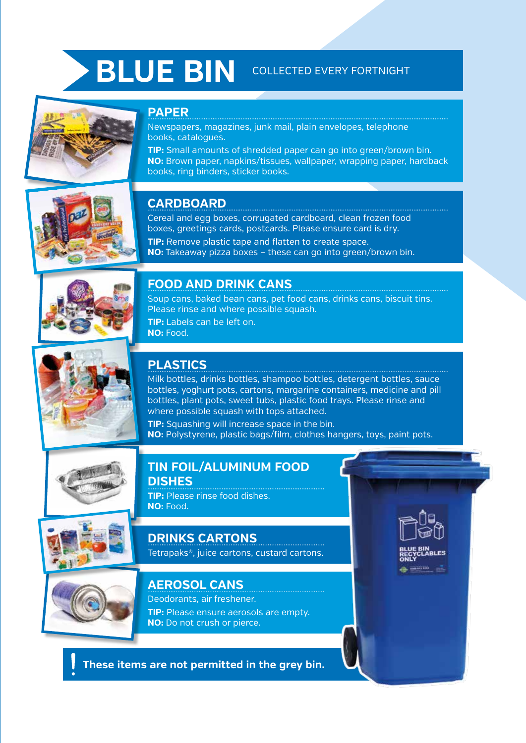## **BLUE BIN** COLLECTED EVERY FORTNIGHT

#### **PAPER**

Newspapers, magazines, junk mail, plain envelopes, telephone books, catalogues.

**TIP:** Small amounts of shredded paper can go into green/brown bin. **NO:** Brown paper, napkins/tissues, wallpaper, wrapping paper, hardback books, ring binders, sticker books.



#### **CARDBOARD**

Cereal and egg boxes, corrugated cardboard, clean frozen food boxes, greetings cards, postcards. Please ensure card is dry.

**TIP:** Remove plastic tape and flatten to create space. **NO:** Takeaway pizza boxes – these can go into green/brown bin.



#### **FOOD AND DRINK CANS**

Soup cans, baked bean cans, pet food cans, drinks cans, biscuit tins. Please rinse and where possible squash. **TIP:** Labels can be left on. **NO:** Food.



#### **PLASTICS**

Milk bottles, drinks bottles, shampoo bottles, detergent bottles, sauce bottles, yoghurt pots, cartons, margarine containers, medicine and pill bottles, plant pots, sweet tubs, plastic food trays. Please rinse and where possible squash with tops attached.

**TIP:** Squashing will increase space in the bin. **NO:** Polystyrene, plastic bags/film, clothes hangers, toys, paint pots.



#### **TIN FOIL/ALUMINUM FOOD DISHES**

**TIP:** Please rinse food dishes. **NO:** Food.



#### **DRINKS CARTONS**

Tetrapaks®, juice cartons, custard cartons.



#### **AEROSOL CANS**

Deodorants, air freshener. **TIP:** Please ensure aerosols are empty. **NO:** Do not crush or pierce.

**These items are not permitted in the grey bin.**

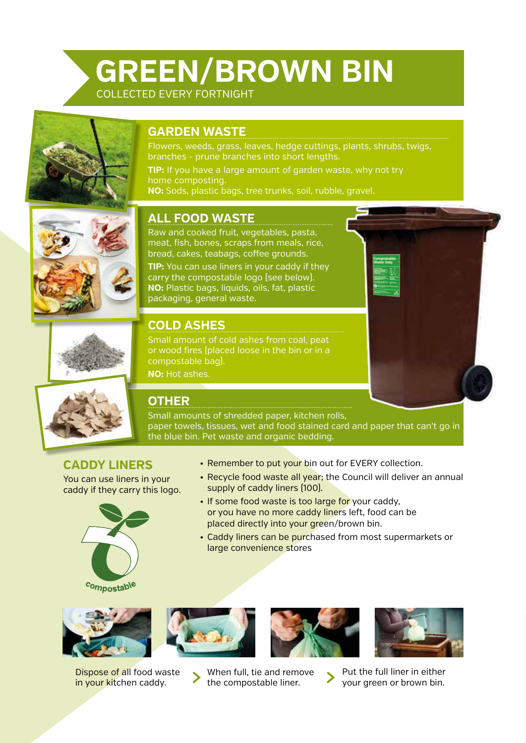#### **GREEN/BROWN BIN** COLLECTED EVERY FORTNIGHT



#### **GARDEN WASTE**

Flowers, weeds, grass, leaves, hedge cuttings, plants, shrubs, twigs, branches - prune branches into short lengths.

**TIP:** If you have a large amount of garden waste, why not try home composting.

**NO:** Sods, plastic bags, tree trunks, soil, rubble, gravel.



#### **ALL FOOD WASTE**

Raw and cooked fruit, vegetables, pasta, meat, fish, bones, scraps from meals, rice, bread, cakes, teabags, coffee grounds.

**TIP:** You can use liners in your caddy if they carry the compostable logo (see below). **NO:** Plastic bags, liquids, oils, fat, plastic packaging, general waste.



#### **COLD ASHES**

Small amount of cold ashes from coal, peat or wood fires (placed loose in the bin or in a compostable bag).

**NO:** Hot ashes.



#### **OTHER**

Small amounts of shredded paper, kitchen rolls, paper towels, tissues, wet and food stained card and paper that can't go in the blue bin. Pet waste and organic bedding.

#### **CADDY LINERS**

You can use liners in your caddy if they carry this logo.





- Recycle food waste all year; the Council will deliver an annual supply of caddy liners (100).
- If some food waste is too large for your caddy, or you have no more caddy liners left, food can be placed directly into your green/brown bin.
- Caddy liners can be purchased from most supermarkets or large convenience stores



Dispose of all food waste in your kitchen caddy.







- When full, tie and remove the compostable liner.
- Put the full liner in either your green or brown bin.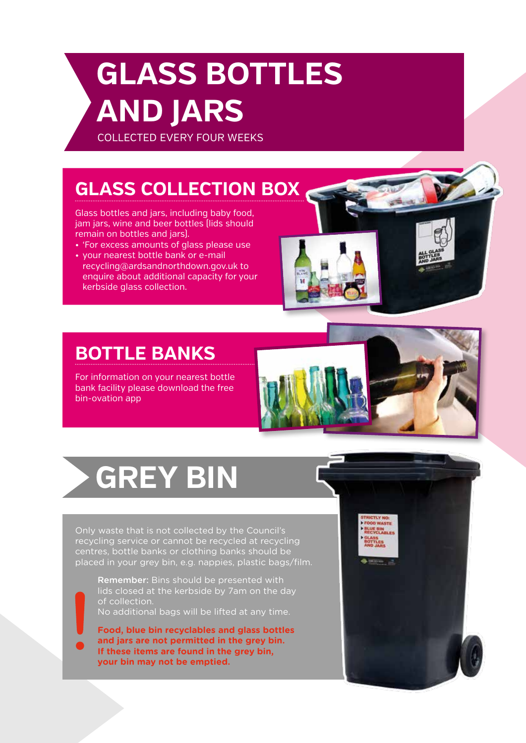## **GLASS BOTTLES AND JARS**

COLLECTED EVERY FOUR WEEKS

#### **GLASS COLLECTION BOX**

Glass bottles and jars, including baby food, jam jars, wine and beer bottles (lids should remain on bottles and jars).

- 'For excess amounts of glass please use
- your nearest bottle bank or e-mail recycling@ardsandnorthdown.gov.uk to enquire about additional capacity for your kerbside glass collection.

### **BOTTLE BANKS**

For information on your nearest bottle bank facility please download the free bin-ovation app

## **GREY BIN**

Only waste that is not collected by the Council's recycling service or cannot be recycled at recycling centres, bottle banks or clothing banks should be placed in your grey bin, e.g. nappies, plastic bags/film.

Remember: Bins should be presented with lids closed at the kerbside by 7am on the day of collection. No additional bags will be lifted at any time.

**Food, blue bin recyclables and glass bottles and jars are not permitted in the grey bin. If these items are found in the grey bin, your bin may not be emptied.**

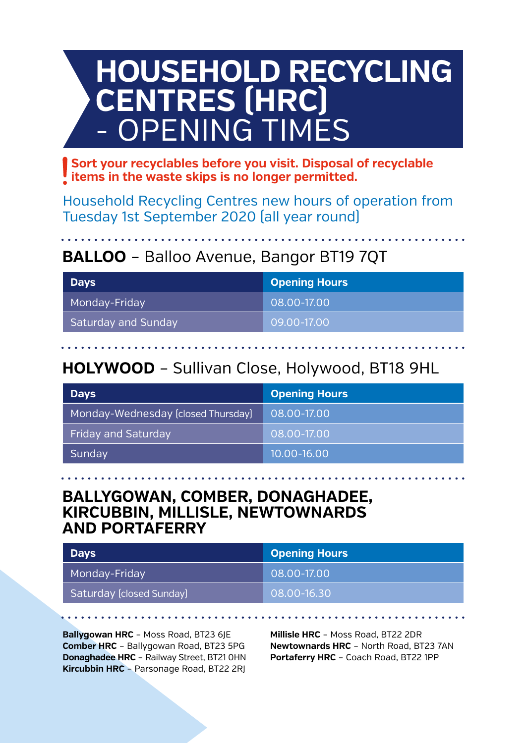## **HOUSEHOLD RECYCLING CENTRES (HRC)** - OPENING TIMES

**Sort your recyclables before you visit. Disposal of recyclable items in the waste skips is no longer permitted.**

Household Recycling Centres new hours of operation from Tuesday 1st September 2020 (all year round)

#### **BALLOO** – Balloo Avenue, Bangor BT19 7QT

| <b>Days</b>                | Opening Hours |  |  |  |  |
|----------------------------|---------------|--|--|--|--|
| Monday-Friday              | 08.00-17.00   |  |  |  |  |
| <b>Saturday and Sunday</b> | 09.00-17.00   |  |  |  |  |

#### **HOLYWOOD** – Sullivan Close, Holywood, BT18 9HL

| <b>Days</b>                        | Opening Hours   |
|------------------------------------|-----------------|
| Monday-Wednesday [closed Thursday] | 08.00-17.00     |
| Friday and Saturday                | 08.00-17.00     |
| Sunday                             | $10.00 - 16.00$ |

#### **BALLYGOWAN, COMBER, DONAGHADEE, KIRCUBBIN, MILLISLE, NEWTOWNARDS AND PORTAFERRY**

| <b>Days</b>              | <b>Opening Hours</b> |
|--------------------------|----------------------|
| Monday-Friday            | 08.00-17.00          |
| Saturday (closed Sunday) | 08.00-16.30          |

**Ballygowan HRC** – Moss Road, BT23 6JE **Comber HRC** – Ballygowan Road, BT23 5PG **Donaghadee HRC** – Railway Street, BT21 0HN **Kircubbin HRC** – Parsonage Road, BT22 2RJ

**Millisle HRC** – Moss Road, BT22 2DR **Newtownards HRC** – North Road, BT23 7AN **Portaferry HRC** – Coach Road, BT22 1PP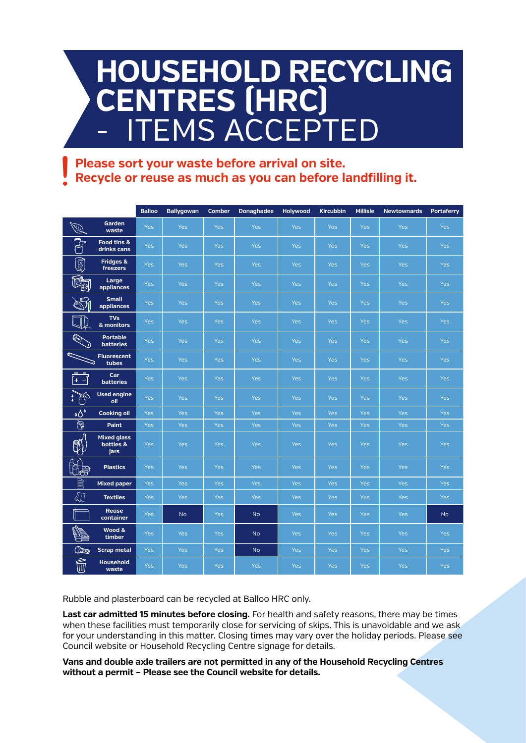## **HOUSEHOLD RECYCLING CENTRES (HRC) ITEMS ACCEPTED**

#### **Please sort your waste before arrival on site. Recycle or reuse as much as you can before landfilling it.**

|                          |                                         | <b>Balloo</b> | Ballygowan | <b>Comber</b> | Donaghadee | Holywood   | <b>Kircubbin</b> | <b>Millisle</b> | <b>Newtownards</b> | Portaferry |
|--------------------------|-----------------------------------------|---------------|------------|---------------|------------|------------|------------------|-----------------|--------------------|------------|
| O.                       | Garden<br>waste                         | <b>Yes</b>    | <b>Yes</b> | <b>Yes</b>    | <b>Yes</b> | <b>Yes</b> | <b>Yes</b>       | <b>Yes</b>      | <b>Yes</b>         | <b>Yes</b> |
|                          | Food tins &<br>drinks cans              | <b>Yes</b>    | Yes        | <b>Yes</b>    | <b>Yes</b> | <b>Yes</b> | <b>Yes</b>       | <b>Yes</b>      | <b>Yes</b>         | Yes        |
| I                        | Fridges &<br>freezers                   | <b>Yes</b>    | <b>Yes</b> | <b>Yes</b>    | <b>Yes</b> | <b>Yes</b> | <b>Yes</b>       | <b>Yes</b>      | <b>Yes</b>         | <b>Yes</b> |
| <b>q</b>                 | Large<br>appliances                     | <b>Yes</b>    | Yes        | <b>Yes</b>    | Yes        | <b>Yes</b> | <b>Yes</b>       | <b>Yes</b>      | <b>Yes</b>         | <b>Yes</b> |
|                          | <b>Small</b><br>appliances              | <b>Yes</b>    | Yes        | <b>Yes</b>    | <b>Yes</b> | <b>Yes</b> | <b>Yes</b>       | <b>Yes</b>      | <b>Yes</b>         | <b>Yes</b> |
|                          | <b>TVs</b><br>& monitors                | <b>Yes</b>    | Yes        | <b>Yes</b>    | <b>Yes</b> | <b>Yes</b> | <b>Yes</b>       | <b>Yes</b>      | <b>Yes</b>         | <b>Yes</b> |
|                          | <b>Portable</b><br><b>batteries</b>     | <b>Yes</b>    | Yes        | <b>Yes</b>    | Yes        | Yes        | <b>Yes</b>       | <b>Yes</b>      | <b>Yes</b>         | <b>Yes</b> |
| ת                        | <b>Fluorescent</b><br>tubes             | <b>Yes</b>    | Yes        | <b>Yes</b>    | <b>Yes</b> | <b>Yes</b> | <b>Yes</b>       | <b>Yes</b>      | <b>Yes</b>         | Yes        |
| ſ+<br>$\left  - \right $ | Car<br><b>batteries</b>                 | <b>Yes</b>    | Yes        | <b>Yes</b>    | <b>Yes</b> | <b>Yes</b> | <b>Yes</b>       | <b>Yes</b>      | <b>Yes</b>         | <b>Yes</b> |
| S                        | <b>Used engine</b><br>oil               | <b>Yes</b>    | Yes        | <b>Yes</b>    | Yes        | <b>Yes</b> | <b>Yes</b>       | <b>Yes</b>      | <b>Yes</b>         | <b>Yes</b> |
| $\delta$                 | <b>Cooking oil</b>                      | <b>Yes</b>    | Yes        | Yes           | Yes        | Yes        | Yes              | Yes             | <b>Yes</b>         | Yes        |
| $\bigcirc$               | Paint                                   | <b>Yes</b>    | Yes        | Yes           | Yes        | Yes        | <b>Yes</b>       | <b>Yes</b>      | Yes                | Yes        |
|                          | <b>Mixed glass</b><br>bottles &<br>jars | <b>Yes</b>    | Yes        | <b>Yes</b>    | <b>Yes</b> | <b>Yes</b> | <b>Yes</b>       | <b>Yes</b>      | <b>Yes</b>         | Yes        |
| 山身                       | <b>Plastics</b>                         | <b>Yes</b>    | <b>Yes</b> | <b>Yes</b>    | <b>Yes</b> | Yes        | <b>Yes</b>       | <b>Yes</b>      | <b>Yes</b>         | <b>Yes</b> |
|                          | <b>Mixed paper</b>                      | <b>Yes</b>    | Yes        | <b>Yes</b>    | Yes        | Yes        | <b>Yes</b>       | Yes             | <b>Yes</b>         | <b>Yes</b> |
| «⊼                       | <b>Textiles</b>                         | <b>Yes</b>    | <b>Yes</b> | <b>Yes</b>    | <b>Yes</b> | <b>Yes</b> | <b>Yes</b>       | <b>Yes</b>      | <b>Yes</b>         | <b>Yes</b> |
|                          | <b>Reuse</b><br>container               | <b>Yes</b>    | <b>No</b>  | <b>Yes</b>    | <b>No</b>  | <b>Yes</b> | <b>Yes</b>       | <b>Yes</b>      | <b>Yes</b>         | <b>No</b>  |
| Ò                        | Wood &<br>timber                        | <b>Yes</b>    | Yes        | <b>Yes</b>    | <b>No</b>  | Yes        | <b>Yes</b>       | <b>Yes</b>      | <b>Yes</b>         | Yes        |
| $\square$                | <b>Scrap metal</b>                      | <b>Yes</b>    | Yes        | <b>Yes</b>    | <b>No</b>  | <b>Yes</b> | <b>Yes</b>       | <b>Yes</b>      | <b>Yes</b>         | <b>Yes</b> |
| Ó                        | <b>Household</b><br>waste               | <b>Yes</b>    | Yes        | <b>Yes</b>    | Yes        | Yes        | Yes              | <b>Yes</b>      | <b>Yes</b>         | Yes        |

Rubble and plasterboard can be recycled at Balloo HRC only.

**Last car admitted 15 minutes before closing.** For health and safety reasons, there may be times when these facilities must temporarily close for servicing of skips. This is unavoidable and we ask for your understanding in this matter. Closing times may vary over the holiday periods. Please see Council website or Household Recycling Centre signage for details.

**Vans and double axle trailers are not permitted in any of the Household Recycling Centres without a permit – Please see the Council website for details.**